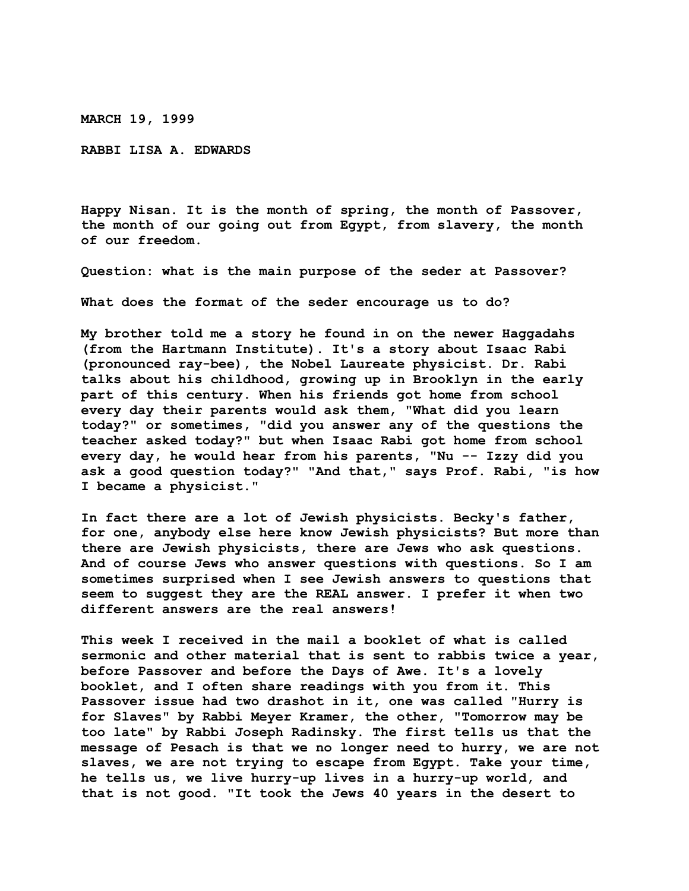**MARCH 19, 1999**

**RABBI LISA A. EDWARDS**

**Happy Nisan. It is the month of spring, the month of Passover, the month of our going out from Egypt, from slavery, the month of our freedom.**

**Question: what is the main purpose of the seder at Passover?**

**What does the format of the seder encourage us to do?**

**My brother told me a story he found in on the newer Haggadahs (from the Hartmann Institute). It's a story about Isaac Rabi (pronounced ray-bee), the Nobel Laureate physicist. Dr. Rabi talks about his childhood, growing up in Brooklyn in the early part of this century. When his friends got home from school every day their parents would ask them, "What did you learn today?" or sometimes, "did you answer any of the questions the teacher asked today?" but when Isaac Rabi got home from school every day, he would hear from his parents, "Nu -- Izzy did you ask a good question today?" "And that," says Prof. Rabi, "is how I became a physicist."**

**In fact there are a lot of Jewish physicists. Becky's father, for one, anybody else here know Jewish physicists? But more than there are Jewish physicists, there are Jews who ask questions. And of course Jews who answer questions with questions. So I am sometimes surprised when I see Jewish answers to questions that seem to suggest they are the REAL answer. I prefer it when two different answers are the real answers!**

**This week I received in the mail a booklet of what is called sermonic and other material that is sent to rabbis twice a year, before Passover and before the Days of Awe. It's a lovely booklet, and I often share readings with you from it. This Passover issue had two drashot in it, one was called "Hurry is for Slaves" by Rabbi Meyer Kramer, the other, "Tomorrow may be too late" by Rabbi Joseph Radinsky. The first tells us that the message of Pesach is that we no longer need to hurry, we are not slaves, we are not trying to escape from Egypt. Take your time, he tells us, we live hurry-up lives in a hurry-up world, and that is not good. "It took the Jews 40 years in the desert to**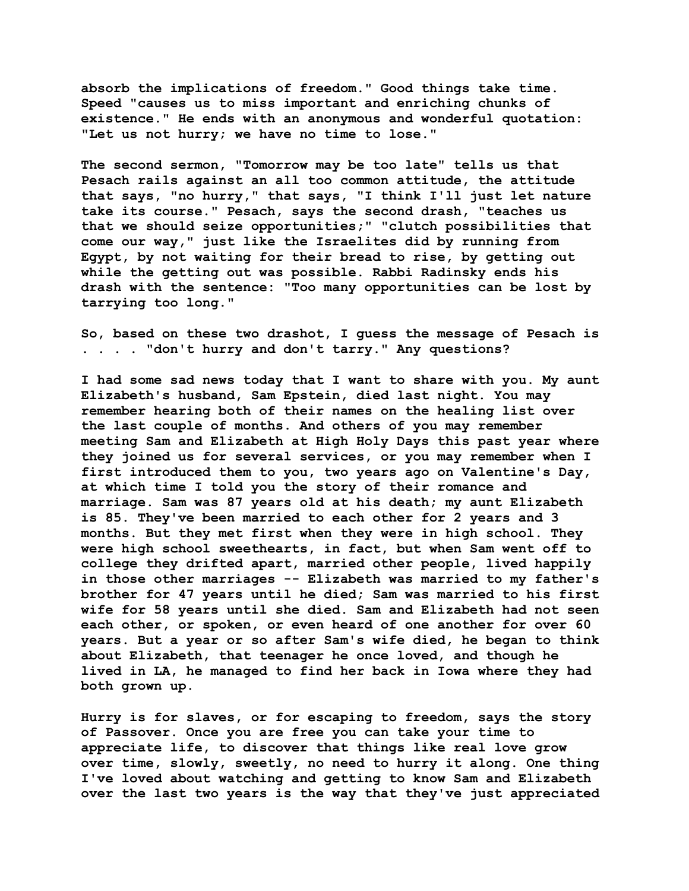**absorb the implications of freedom." Good things take time. Speed "causes us to miss important and enriching chunks of existence." He ends with an anonymous and wonderful quotation: "Let us not hurry; we have no time to lose."**

**The second sermon, "Tomorrow may be too late" tells us that Pesach rails against an all too common attitude, the attitude that says, "no hurry," that says, "I think I'll just let nature take its course." Pesach, says the second drash, "teaches us that we should seize opportunities;" "clutch possibilities that come our way," just like the Israelites did by running from Egypt, by not waiting for their bread to rise, by getting out while the getting out was possible. Rabbi Radinsky ends his drash with the sentence: "Too many opportunities can be lost by tarrying too long."**

**So, based on these two drashot, I guess the message of Pesach is . . . . "don't hurry and don't tarry." Any questions?**

**I had some sad news today that I want to share with you. My aunt Elizabeth's husband, Sam Epstein, died last night. You may remember hearing both of their names on the healing list over the last couple of months. And others of you may remember meeting Sam and Elizabeth at High Holy Days this past year where they joined us for several services, or you may remember when I first introduced them to you, two years ago on Valentine's Day, at which time I told you the story of their romance and marriage. Sam was 87 years old at his death; my aunt Elizabeth is 85. They've been married to each other for 2 years and 3 months. But they met first when they were in high school. They were high school sweethearts, in fact, but when Sam went off to college they drifted apart, married other people, lived happily in those other marriages -- Elizabeth was married to my father's brother for 47 years until he died; Sam was married to his first wife for 58 years until she died. Sam and Elizabeth had not seen each other, or spoken, or even heard of one another for over 60 years. But a year or so after Sam's wife died, he began to think about Elizabeth, that teenager he once loved, and though he lived in LA, he managed to find her back in Iowa where they had both grown up.**

**Hurry is for slaves, or for escaping to freedom, says the story of Passover. Once you are free you can take your time to appreciate life, to discover that things like real love grow over time, slowly, sweetly, no need to hurry it along. One thing I've loved about watching and getting to know Sam and Elizabeth over the last two years is the way that they've just appreciated**